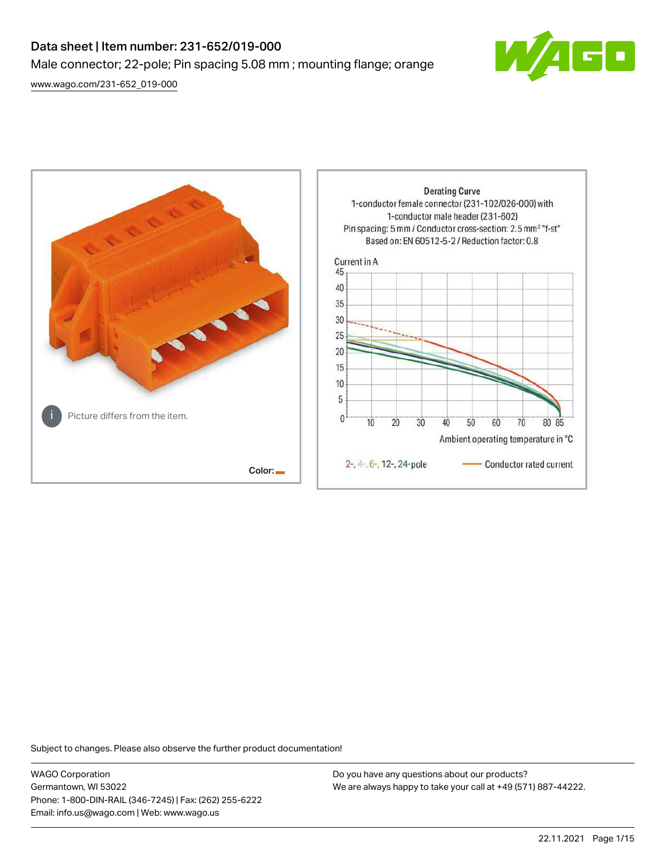# Data sheet | Item number: 231-652/019-000 Male connector; 22-pole; Pin spacing 5.08 mm ; mounting flange; orange

[www.wago.com/231-652\\_019-000](http://www.wago.com/231-652_019-000)





Subject to changes. Please also observe the further product documentation!

WAGO Corporation Germantown, WI 53022 Phone: 1-800-DIN-RAIL (346-7245) | Fax: (262) 255-6222 Email: info.us@wago.com | Web: www.wago.us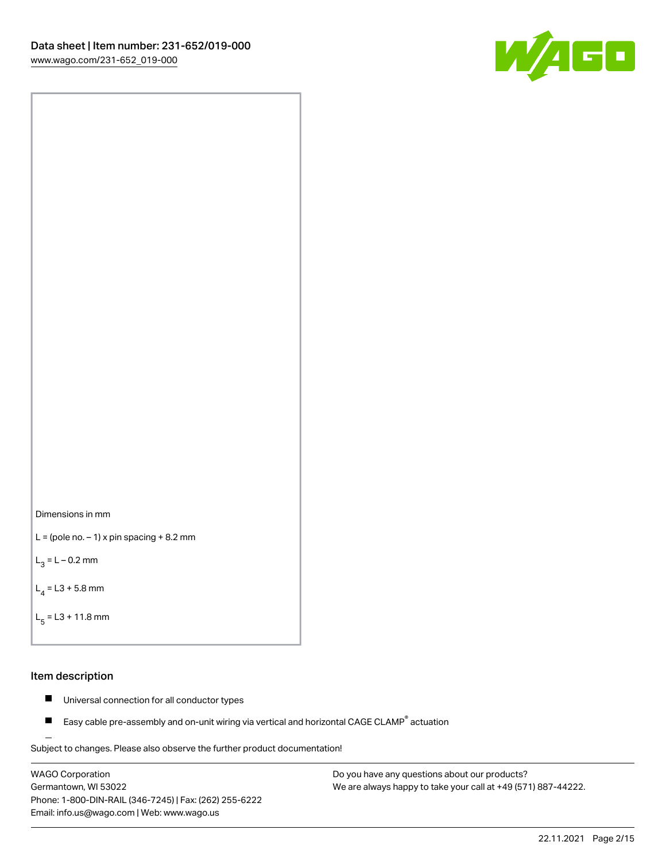



```
L = (pole no. -1) x pin spacing +8.2 mm
```
 $L_3 = L - 0.2$  mm

```
L_4 = L3 + 5.8 mm
```

```
L_{\rm g} = L3 + 11.8 mm
```
#### Item description

- $\blacksquare$ Universal connection for all conductor types
- Easy cable pre-assembly and on-unit wiring via vertical and horizontal CAGE CLAMP<sup>®</sup> actuation  $\blacksquare$

Subject to changes. Please also observe the further product documentation! For wire-to-wire and board-to-wire connections

WAGO Corporation Germantown, WI 53022 Phone: 1-800-DIN-RAIL (346-7245) | Fax: (262) 255-6222 Email: info.us@wago.com | Web: www.wago.us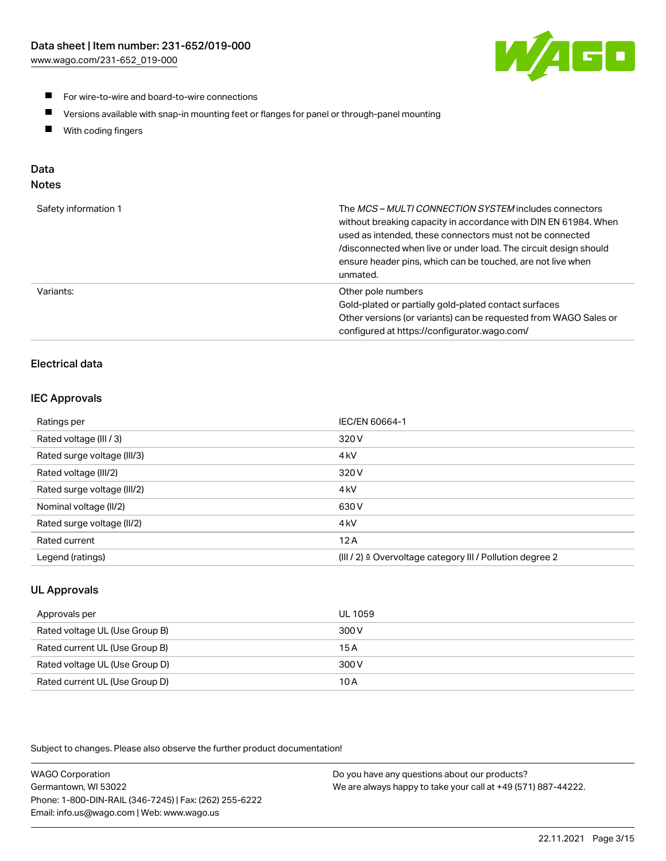

- **For wire-to-wire and board-to-wire connections**
- $\blacksquare$ Versions available with snap-in mounting feet or flanges for panel or through-panel mounting
- $\blacksquare$ With coding fingers

# Data

## Notes

| Safety information 1 | The MCS-MULTI CONNECTION SYSTEM includes connectors<br>without breaking capacity in accordance with DIN EN 61984. When<br>used as intended, these connectors must not be connected<br>/disconnected when live or under load. The circuit design should<br>ensure header pins, which can be touched, are not live when<br>unmated. |
|----------------------|-----------------------------------------------------------------------------------------------------------------------------------------------------------------------------------------------------------------------------------------------------------------------------------------------------------------------------------|
| Variants:            | Other pole numbers<br>Gold-plated or partially gold-plated contact surfaces<br>Other versions (or variants) can be requested from WAGO Sales or<br>configured at https://configurator.wago.com/                                                                                                                                   |

# Electrical data

#### IEC Approvals

| Ratings per                 | IEC/EN 60664-1                                                        |
|-----------------------------|-----------------------------------------------------------------------|
| Rated voltage (III / 3)     | 320 V                                                                 |
| Rated surge voltage (III/3) | 4 <sub>k</sub> V                                                      |
| Rated voltage (III/2)       | 320 V                                                                 |
| Rated surge voltage (III/2) | 4 <sub>k</sub> V                                                      |
| Nominal voltage (II/2)      | 630 V                                                                 |
| Rated surge voltage (II/2)  | 4 <sub>k</sub> V                                                      |
| Rated current               | 12A                                                                   |
| Legend (ratings)            | $(III / 2)$ $\triangle$ Overvoltage category III / Pollution degree 2 |

# UL Approvals

| Approvals per                  | UL 1059 |
|--------------------------------|---------|
| Rated voltage UL (Use Group B) | 300 V   |
| Rated current UL (Use Group B) | 15 A    |
| Rated voltage UL (Use Group D) | 300 V   |
| Rated current UL (Use Group D) | 10 A    |

Subject to changes. Please also observe the further product documentation!

| <b>WAGO Corporation</b>                                | Do you have any questions about our products?                 |
|--------------------------------------------------------|---------------------------------------------------------------|
| Germantown, WI 53022                                   | We are always happy to take your call at +49 (571) 887-44222. |
| Phone: 1-800-DIN-RAIL (346-7245)   Fax: (262) 255-6222 |                                                               |
| Email: info.us@wago.com   Web: www.wago.us             |                                                               |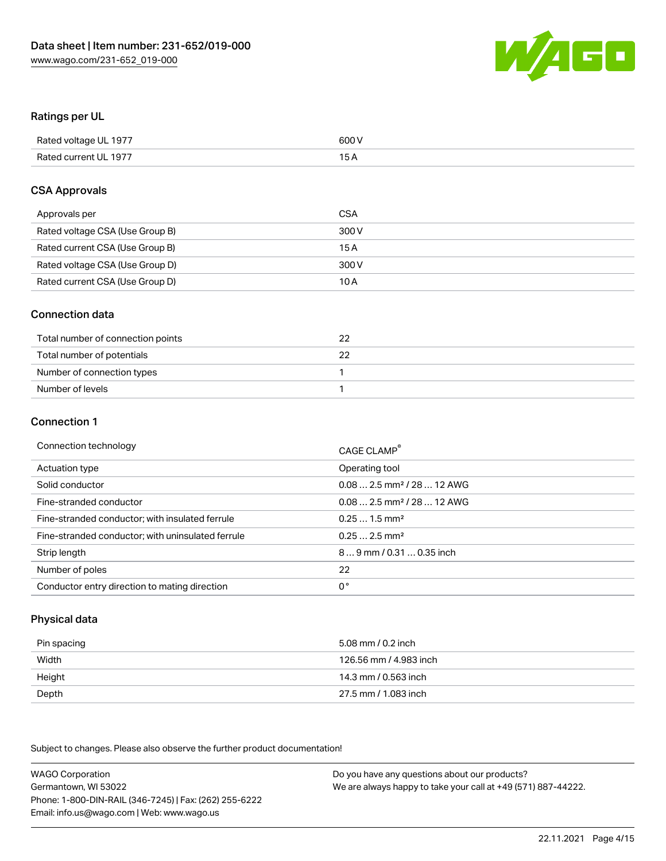

#### Ratings per UL

| Rated voltage UL 1977 | 600 V |
|-----------------------|-------|
| Rated current UL 1977 | 1 E   |

#### CSA Approvals

| Approvals per                   | CSA   |
|---------------------------------|-------|
| Rated voltage CSA (Use Group B) | 300 V |
| Rated current CSA (Use Group B) | 15 A  |
| Rated voltage CSA (Use Group D) | 300 V |
| Rated current CSA (Use Group D) | 10 A  |

#### Connection data

| Total number of connection points |  |
|-----------------------------------|--|
| Total number of potentials        |  |
| Number of connection types        |  |
| Number of levels                  |  |

#### Connection 1

| Connection technology                             | CAGE CLAMP <sup>®</sup>                |
|---------------------------------------------------|----------------------------------------|
| Actuation type                                    | Operating tool                         |
| Solid conductor                                   | $0.082.5$ mm <sup>2</sup> / 28  12 AWG |
| Fine-stranded conductor                           | $0.082.5$ mm <sup>2</sup> / 28  12 AWG |
| Fine-stranded conductor; with insulated ferrule   | $0.251.5$ mm <sup>2</sup>              |
| Fine-stranded conductor; with uninsulated ferrule | $0.252.5$ mm <sup>2</sup>              |
| Strip length                                      | 89 mm / 0.31  0.35 inch                |
| Number of poles                                   | 22                                     |
| Conductor entry direction to mating direction     | 0°                                     |

## Physical data

| Pin spacing | 5.08 mm / 0.2 inch     |
|-------------|------------------------|
| Width       | 126.56 mm / 4.983 inch |
| Height      | 14.3 mm / 0.563 inch   |
| Depth       | 27.5 mm / 1.083 inch   |

Subject to changes. Please also observe the further product documentation!

WAGO Corporation Germantown, WI 53022 Phone: 1-800-DIN-RAIL (346-7245) | Fax: (262) 255-6222 Email: info.us@wago.com | Web: www.wago.us Do you have any questions about our products? We are always happy to take your call at +49 (571) 887-44222.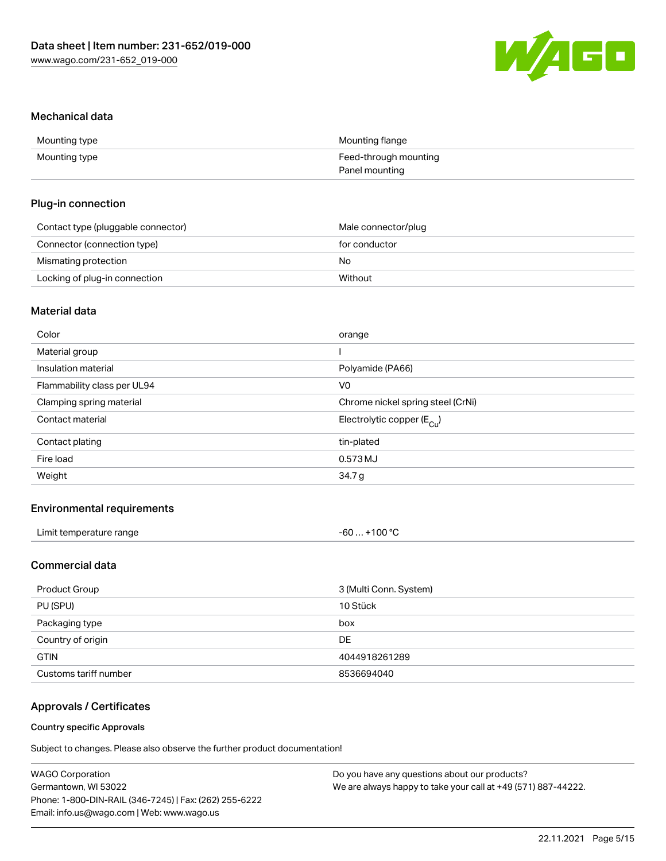

#### Mechanical data

| Mounting type | Mounting flange       |
|---------------|-----------------------|
| Mounting type | Feed-through mounting |
|               | Panel mounting        |

#### Plug-in connection

| Contact type (pluggable connector) | Male connector/plug |
|------------------------------------|---------------------|
| Connector (connection type)        | for conductor       |
| Mismating protection               | No                  |
| Locking of plug-in connection      | Without             |

# Material data

| Color                       | orange                                |
|-----------------------------|---------------------------------------|
| Material group              |                                       |
| Insulation material         | Polyamide (PA66)                      |
| Flammability class per UL94 | V0                                    |
| Clamping spring material    | Chrome nickel spring steel (CrNi)     |
| Contact material            | Electrolytic copper $(E_{\text{Cl}})$ |
| Contact plating             | tin-plated                            |
| Fire load                   | 0.573 MJ                              |
| Weight                      | 34.7 g                                |
|                             |                                       |

## Environmental requirements

| Limit temperature range | $-60+100 °C$ |
|-------------------------|--------------|
|-------------------------|--------------|

## Commercial data

| Product Group         | 3 (Multi Conn. System) |
|-----------------------|------------------------|
| PU (SPU)              | 10 Stück               |
| Packaging type        | box                    |
| Country of origin     | DE.                    |
| <b>GTIN</b>           | 4044918261289          |
| Customs tariff number | 8536694040             |

# Approvals / Certificates

#### Country specific Approvals

Subject to changes. Please also observe the further product documentation!

| <b>WAGO Corporation</b>                                | Do you have any questions about our products?                 |
|--------------------------------------------------------|---------------------------------------------------------------|
| Germantown, WI 53022                                   | We are always happy to take your call at +49 (571) 887-44222. |
| Phone: 1-800-DIN-RAIL (346-7245)   Fax: (262) 255-6222 |                                                               |
| Email: info.us@wago.com   Web: www.wago.us             |                                                               |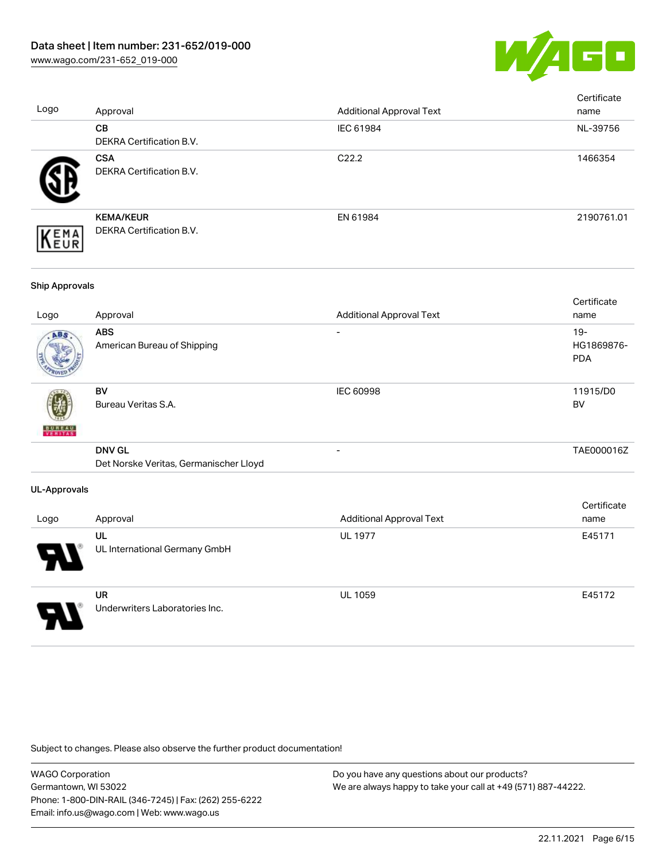

| Logo                  | Approval                                                | <b>Additional Approval Text</b> | Certificate<br>name                |
|-----------------------|---------------------------------------------------------|---------------------------------|------------------------------------|
|                       | CB<br>DEKRA Certification B.V.                          | IEC 61984                       | NL-39756                           |
|                       | <b>CSA</b><br>DEKRA Certification B.V.                  | C22.2                           | 1466354                            |
| EMA<br>EUR            | <b>KEMA/KEUR</b><br>DEKRA Certification B.V.            | EN 61984                        | 2190761.01                         |
| <b>Ship Approvals</b> |                                                         |                                 |                                    |
| Logo                  | Approval                                                | <b>Additional Approval Text</b> | Certificate<br>name                |
|                       | <b>ABS</b><br>American Bureau of Shipping               |                                 | $19 -$<br>HG1869876-<br><b>PDA</b> |
|                       | <b>BV</b><br>Bureau Veritas S.A.                        | <b>IEC 60998</b>                | 11915/D0<br><b>BV</b>              |
|                       | <b>DNV GL</b><br>Det Norske Veritas, Germanischer Lloyd | $\overline{a}$                  | TAE000016Z                         |
| <b>UL-Approvals</b>   |                                                         |                                 |                                    |
| Logo                  | Approval                                                | <b>Additional Approval Text</b> | Certificate<br>name                |
|                       | UL<br>UL International Germany GmbH                     | <b>UL 1977</b>                  | E45171                             |
|                       | <b>UR</b><br>Underwriters Laboratories Inc.             | UL 1059                         | E45172                             |

Subject to changes. Please also observe the further product documentation!

WAGO Corporation Germantown, WI 53022 Phone: 1-800-DIN-RAIL (346-7245) | Fax: (262) 255-6222 Email: info.us@wago.com | Web: www.wago.us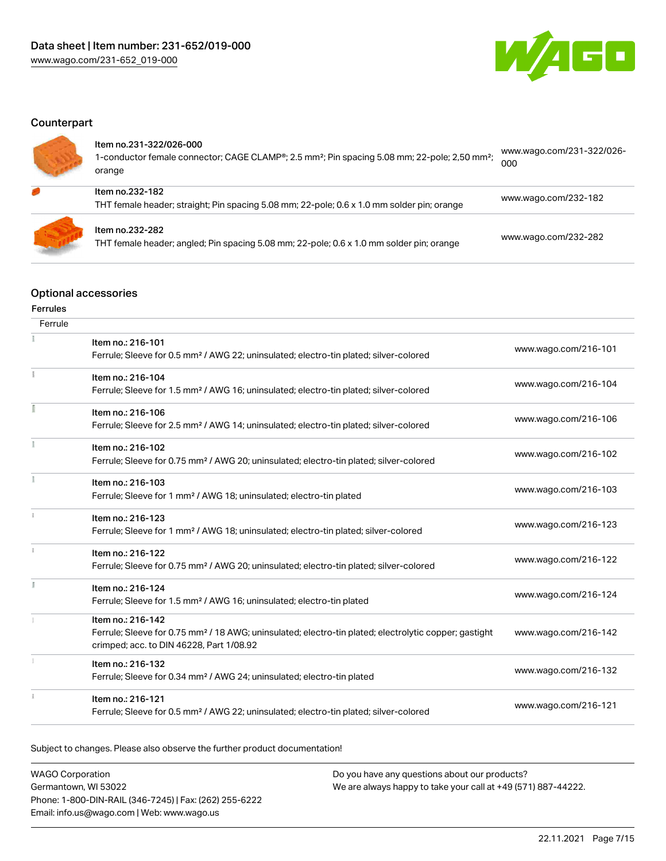

# **Counterpart**

| ltem no.231-322/026-000<br>1-conductor female connector; CAGE CLAMP®; 2.5 mm <sup>2</sup> ; Pin spacing 5.08 mm; 22-pole; 2,50 mm <sup>2</sup> ;<br>orange | www.wago.com/231-322/026-<br>000 |
|------------------------------------------------------------------------------------------------------------------------------------------------------------|----------------------------------|
| Item no.232-182<br>THT female header; straight; Pin spacing 5.08 mm; 22-pole; 0.6 x 1.0 mm solder pin; orange                                              | www.wago.com/232-182             |
| Item no.232-282<br>THT female header; angled; Pin spacing 5.08 mm; 22-pole; 0.6 x 1.0 mm solder pin; orange                                                | www.wago.com/232-282             |

# Optional accessories

## Ferrules

| Ferrule       |                                                                                                                                                                                    |                      |
|---------------|------------------------------------------------------------------------------------------------------------------------------------------------------------------------------------|----------------------|
|               | Item no.: 216-101<br>Ferrule; Sleeve for 0.5 mm <sup>2</sup> / AWG 22; uninsulated; electro-tin plated; silver-colored                                                             | www.wago.com/216-101 |
|               | Item no.: 216-104<br>Ferrule; Sleeve for 1.5 mm <sup>2</sup> / AWG 16; uninsulated; electro-tin plated; silver-colored                                                             | www.wago.com/216-104 |
|               | Item no.: 216-106<br>Ferrule; Sleeve for 2.5 mm <sup>2</sup> / AWG 14; uninsulated; electro-tin plated; silver-colored                                                             | www.wago.com/216-106 |
|               | Item no.: 216-102<br>Ferrule; Sleeve for 0.75 mm <sup>2</sup> / AWG 20; uninsulated; electro-tin plated; silver-colored                                                            | www.wago.com/216-102 |
|               | Item no.: 216-103<br>Ferrule; Sleeve for 1 mm <sup>2</sup> / AWG 18; uninsulated; electro-tin plated                                                                               | www.wago.com/216-103 |
| $\frac{1}{2}$ | Item no.: 216-123<br>Ferrule; Sleeve for 1 mm <sup>2</sup> / AWG 18; uninsulated; electro-tin plated; silver-colored                                                               | www.wago.com/216-123 |
|               | Item no.: 216-122<br>Ferrule; Sleeve for 0.75 mm <sup>2</sup> / AWG 20; uninsulated; electro-tin plated; silver-colored                                                            | www.wago.com/216-122 |
|               | Item no.: 216-124<br>Ferrule; Sleeve for 1.5 mm <sup>2</sup> / AWG 16; uninsulated; electro-tin plated                                                                             | www.wago.com/216-124 |
|               | Item no.: 216-142<br>Ferrule; Sleeve for 0.75 mm <sup>2</sup> / 18 AWG; uninsulated; electro-tin plated; electrolytic copper; gastight<br>crimped; acc. to DIN 46228, Part 1/08.92 | www.wago.com/216-142 |
|               | Item no.: 216-132<br>Ferrule; Sleeve for 0.34 mm <sup>2</sup> / AWG 24; uninsulated; electro-tin plated                                                                            | www.wago.com/216-132 |
|               | Item no.: 216-121<br>Ferrule; Sleeve for 0.5 mm <sup>2</sup> / AWG 22; uninsulated; electro-tin plated; silver-colored                                                             | www.wago.com/216-121 |

Subject to changes. Please also observe the further product documentation!

| <b>WAGO Corporation</b>                                | Do you have any questions about our products?                 |
|--------------------------------------------------------|---------------------------------------------------------------|
| Germantown, WI 53022                                   | We are always happy to take your call at +49 (571) 887-44222. |
| Phone: 1-800-DIN-RAIL (346-7245)   Fax: (262) 255-6222 |                                                               |
| Email: info.us@wago.com   Web: www.wago.us             |                                                               |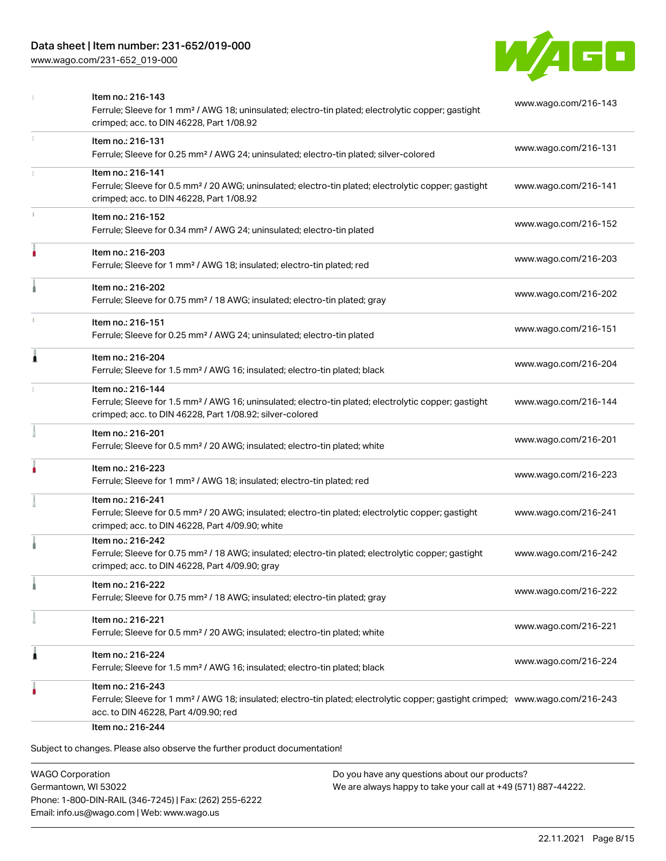# Data sheet | Item number: 231-652/019-000

[www.wago.com/231-652\\_019-000](http://www.wago.com/231-652_019-000)



|   | Item no.: 216-143<br>Ferrule; Sleeve for 1 mm <sup>2</sup> / AWG 18; uninsulated; electro-tin plated; electrolytic copper; gastight<br>crimped; acc. to DIN 46228, Part 1/08.92                         | www.wago.com/216-143 |
|---|---------------------------------------------------------------------------------------------------------------------------------------------------------------------------------------------------------|----------------------|
|   | Item no.: 216-131<br>Ferrule; Sleeve for 0.25 mm <sup>2</sup> / AWG 24; uninsulated; electro-tin plated; silver-colored                                                                                 | www.wago.com/216-131 |
|   | Item no.: 216-141<br>Ferrule; Sleeve for 0.5 mm <sup>2</sup> / 20 AWG; uninsulated; electro-tin plated; electrolytic copper; gastight<br>crimped; acc. to DIN 46228, Part 1/08.92                       | www.wago.com/216-141 |
|   | Item no.: 216-152<br>Ferrule; Sleeve for 0.34 mm <sup>2</sup> / AWG 24; uninsulated; electro-tin plated                                                                                                 | www.wago.com/216-152 |
| ۸ | Item no.: 216-203<br>Ferrule; Sleeve for 1 mm <sup>2</sup> / AWG 18; insulated; electro-tin plated; red                                                                                                 | www.wago.com/216-203 |
|   | Item no.: 216-202<br>Ferrule; Sleeve for 0.75 mm <sup>2</sup> / 18 AWG; insulated; electro-tin plated; gray                                                                                             | www.wago.com/216-202 |
|   | Item no.: 216-151<br>Ferrule; Sleeve for 0.25 mm <sup>2</sup> / AWG 24; uninsulated; electro-tin plated                                                                                                 | www.wago.com/216-151 |
| Â | Item no.: 216-204<br>Ferrule; Sleeve for 1.5 mm <sup>2</sup> / AWG 16; insulated; electro-tin plated; black                                                                                             | www.wago.com/216-204 |
|   | Item no.: 216-144<br>Ferrule; Sleeve for 1.5 mm <sup>2</sup> / AWG 16; uninsulated; electro-tin plated; electrolytic copper; gastight<br>crimped; acc. to DIN 46228, Part 1/08.92; silver-colored       | www.wago.com/216-144 |
|   | Item no.: 216-201<br>Ferrule; Sleeve for 0.5 mm <sup>2</sup> / 20 AWG; insulated; electro-tin plated; white                                                                                             | www.wago.com/216-201 |
|   | Item no.: 216-223<br>Ferrule; Sleeve for 1 mm <sup>2</sup> / AWG 18; insulated; electro-tin plated; red                                                                                                 | www.wago.com/216-223 |
|   | Item no.: 216-241<br>Ferrule; Sleeve for 0.5 mm <sup>2</sup> / 20 AWG; insulated; electro-tin plated; electrolytic copper; gastight<br>crimped; acc. to DIN 46228, Part 4/09.90; white                  | www.wago.com/216-241 |
|   | Item no.: 216-242<br>Ferrule; Sleeve for 0.75 mm <sup>2</sup> / 18 AWG; insulated; electro-tin plated; electrolytic copper; gastight<br>crimped; acc. to DIN 46228, Part 4/09.90; gray                  | www.wago.com/216-242 |
|   | Item no.: 216-222<br>Ferrule; Sleeve for 0.75 mm <sup>2</sup> / 18 AWG; insulated; electro-tin plated; gray                                                                                             | www.wago.com/216-222 |
|   | Item no.: 216-221<br>Ferrule; Sleeve for 0.5 mm <sup>2</sup> / 20 AWG; insulated; electro-tin plated; white                                                                                             | www.wago.com/216-221 |
| 1 | Item no.: 216-224<br>Ferrule; Sleeve for 1.5 mm <sup>2</sup> / AWG 16; insulated; electro-tin plated; black                                                                                             | www.wago.com/216-224 |
|   | Item no.: 216-243<br>Ferrule; Sleeve for 1 mm <sup>2</sup> / AWG 18; insulated; electro-tin plated; electrolytic copper; gastight crimped; www.wago.com/216-243<br>acc. to DIN 46228, Part 4/09.90; red |                      |

WAGO Corporation Germantown, WI 53022 Phone: 1-800-DIN-RAIL (346-7245) | Fax: (262) 255-6222 Email: info.us@wago.com | Web: www.wago.us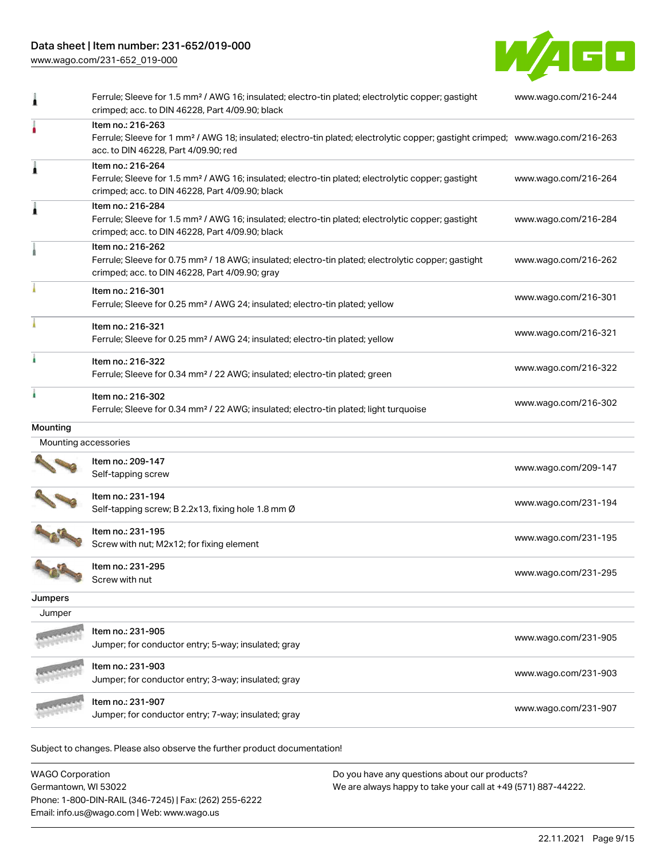# Data sheet | Item number: 231-652/019-000

[www.wago.com/231-652\\_019-000](http://www.wago.com/231-652_019-000)



|                      | Ferrule; Sleeve for 1.5 mm <sup>2</sup> / AWG 16; insulated; electro-tin plated; electrolytic copper; gastight<br>crimped; acc. to DIN 46228, Part 4/09.90; black                                       | www.wago.com/216-244 |
|----------------------|---------------------------------------------------------------------------------------------------------------------------------------------------------------------------------------------------------|----------------------|
|                      | Item no.: 216-263<br>Ferrule; Sleeve for 1 mm <sup>2</sup> / AWG 18; insulated; electro-tin plated; electrolytic copper; gastight crimped; www.wago.com/216-263<br>acc. to DIN 46228, Part 4/09.90; red |                      |
|                      | Item no.: 216-264<br>Ferrule; Sleeve for 1.5 mm <sup>2</sup> / AWG 16; insulated; electro-tin plated; electrolytic copper; gastight<br>crimped; acc. to DIN 46228, Part 4/09.90; black                  | www.wago.com/216-264 |
|                      | Item no.: 216-284<br>Ferrule; Sleeve for 1.5 mm <sup>2</sup> / AWG 16; insulated; electro-tin plated; electrolytic copper; gastight<br>crimped; acc. to DIN 46228, Part 4/09.90; black                  | www.wago.com/216-284 |
|                      | Item no.: 216-262<br>Ferrule; Sleeve for 0.75 mm <sup>2</sup> / 18 AWG; insulated; electro-tin plated; electrolytic copper; gastight<br>crimped; acc. to DIN 46228, Part 4/09.90; gray                  | www.wago.com/216-262 |
|                      | Item no.: 216-301<br>Ferrule; Sleeve for 0.25 mm <sup>2</sup> / AWG 24; insulated; electro-tin plated; yellow                                                                                           | www.wago.com/216-301 |
|                      | Item no.: 216-321<br>Ferrule; Sleeve for 0.25 mm <sup>2</sup> / AWG 24; insulated; electro-tin plated; yellow                                                                                           | www.wago.com/216-321 |
|                      | Item no.: 216-322<br>Ferrule; Sleeve for 0.34 mm <sup>2</sup> / 22 AWG; insulated; electro-tin plated; green                                                                                            | www.wago.com/216-322 |
|                      | Item no.: 216-302<br>Ferrule; Sleeve for 0.34 mm <sup>2</sup> / 22 AWG; insulated; electro-tin plated; light turquoise                                                                                  | www.wago.com/216-302 |
| Mounting             |                                                                                                                                                                                                         |                      |
| Mounting accessories |                                                                                                                                                                                                         |                      |
|                      | Item no.: 209-147<br>Self-tapping screw                                                                                                                                                                 | www.wago.com/209-147 |
|                      | Item no.: 231-194<br>Self-tapping screw; B 2.2x13, fixing hole 1.8 mm Ø                                                                                                                                 | www.wago.com/231-194 |
|                      | Item no.: 231-195<br>Screw with nut; M2x12; for fixing element                                                                                                                                          | www.wago.com/231-195 |
|                      | Item no.: 231-295<br>Screw with nut                                                                                                                                                                     | www.wago.com/231-295 |
| Jumpers              |                                                                                                                                                                                                         |                      |
| Jumper               |                                                                                                                                                                                                         |                      |
|                      | Item no.: 231-905<br>Jumper; for conductor entry; 5-way; insulated; gray                                                                                                                                | www.wago.com/231-905 |
|                      | Item no.: 231-903<br>Jumper; for conductor entry; 3-way; insulated; gray                                                                                                                                | www.wago.com/231-903 |
|                      | Item no.: 231-907                                                                                                                                                                                       |                      |

| <b>WAGO Corporation</b>                                | Do you have any questions about our products?                 |
|--------------------------------------------------------|---------------------------------------------------------------|
| Germantown, WI 53022                                   | We are always happy to take your call at +49 (571) 887-44222. |
| Phone: 1-800-DIN-RAIL (346-7245)   Fax: (262) 255-6222 |                                                               |
| Email: info.us@wago.com   Web: www.wago.us             |                                                               |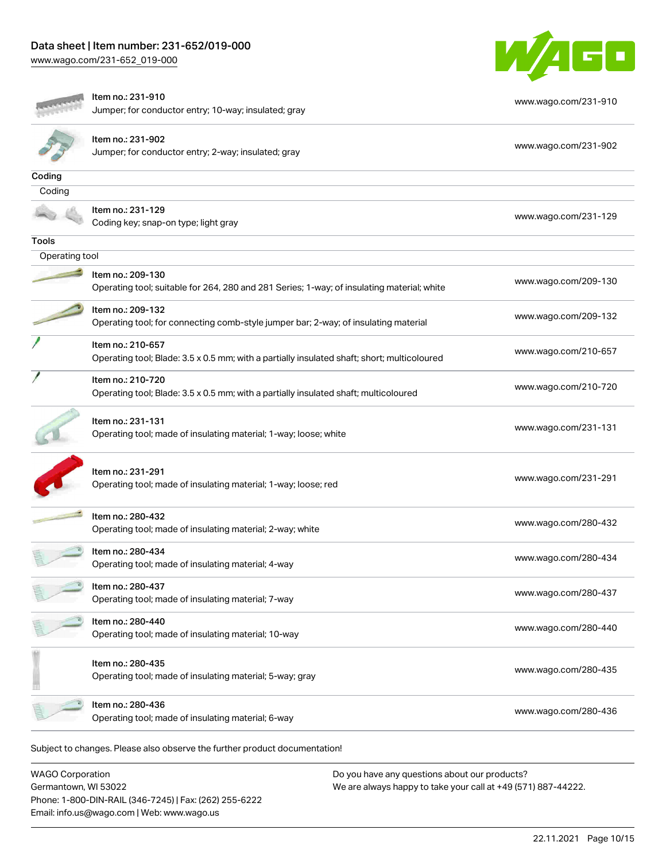[www.wago.com/231-652\\_019-000](http://www.wago.com/231-652_019-000)



|                | Item no.: 231-910                                                                                                | www.wago.com/231-910 |
|----------------|------------------------------------------------------------------------------------------------------------------|----------------------|
|                | Jumper; for conductor entry; 10-way; insulated; gray                                                             |                      |
|                | Item no.: 231-902                                                                                                |                      |
|                | Jumper; for conductor entry; 2-way; insulated; gray                                                              | www.wago.com/231-902 |
| Coding         |                                                                                                                  |                      |
| Coding         |                                                                                                                  |                      |
|                | Item no.: 231-129<br>Coding key; snap-on type; light gray                                                        | www.wago.com/231-129 |
| Tools          |                                                                                                                  |                      |
| Operating tool |                                                                                                                  |                      |
|                | Item no.: 209-130<br>Operating tool; suitable for 264, 280 and 281 Series; 1-way; of insulating material; white  | www.wago.com/209-130 |
|                | Item no.: 209-132<br>Operating tool; for connecting comb-style jumper bar; 2-way; of insulating material         | www.wago.com/209-132 |
|                | Item no.: 210-657<br>Operating tool; Blade: 3.5 x 0.5 mm; with a partially insulated shaft; short; multicoloured | www.wago.com/210-657 |
|                | Item no.: 210-720<br>Operating tool; Blade: 3.5 x 0.5 mm; with a partially insulated shaft; multicoloured        | www.wago.com/210-720 |
|                | Item no.: 231-131<br>Operating tool; made of insulating material; 1-way; loose; white                            | www.wago.com/231-131 |
|                | Item no.: 231-291<br>Operating tool; made of insulating material; 1-way; loose; red                              | www.wago.com/231-291 |
|                | Item no.: 280-432<br>Operating tool; made of insulating material; 2-way; white                                   | www.wago.com/280-432 |
|                | Item no.: 280-434<br>Operating tool; made of insulating material; 4-way                                          | www.wago.com/280-434 |
|                | Item no.: 280-437<br>Operating tool; made of insulating material; 7-way                                          | www.wago.com/280-437 |
|                | Item no.: 280-440<br>Operating tool; made of insulating material; 10-way                                         | www.wago.com/280-440 |
|                | Item no.: 280-435<br>Operating tool; made of insulating material; 5-way; gray                                    | www.wago.com/280-435 |
|                | Item no.: 280-436<br>Operating tool; made of insulating material; 6-way                                          | www.wago.com/280-436 |
|                | Subject to changes. Please also observe the further product documentation!                                       |                      |

WAGO Corporation Germantown, WI 53022 Phone: 1-800-DIN-RAIL (346-7245) | Fax: (262) 255-6222 Email: info.us@wago.com | Web: www.wago.us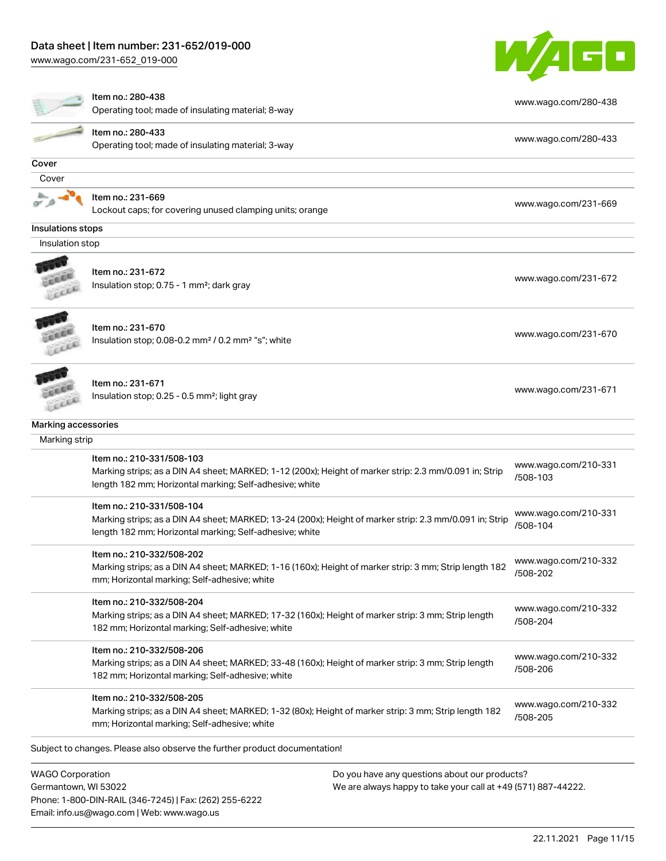# Data sheet | Item number: 231-652/019-000

Phone: 1-800-DIN-RAIL (346-7245) | Fax: (262) 255-6222

Email: info.us@wago.com | Web: www.wago.us

[www.wago.com/231-652\\_019-000](http://www.wago.com/231-652_019-000)



|                         | Item no.: 280-438                                                                                                                                     |                                                               |                                  |
|-------------------------|-------------------------------------------------------------------------------------------------------------------------------------------------------|---------------------------------------------------------------|----------------------------------|
|                         | Operating tool; made of insulating material; 8-way                                                                                                    |                                                               | www.wago.com/280-438             |
|                         | Item no.: 280-433                                                                                                                                     |                                                               | www.wago.com/280-433             |
|                         | Operating tool; made of insulating material; 3-way                                                                                                    |                                                               |                                  |
| Cover                   |                                                                                                                                                       |                                                               |                                  |
| Cover                   |                                                                                                                                                       |                                                               |                                  |
|                         | Item no.: 231-669                                                                                                                                     |                                                               | www.wago.com/231-669             |
|                         | Lockout caps; for covering unused clamping units; orange                                                                                              |                                                               |                                  |
| Insulations stops       |                                                                                                                                                       |                                                               |                                  |
| Insulation stop         |                                                                                                                                                       |                                                               |                                  |
|                         | Item no.: 231-672                                                                                                                                     |                                                               |                                  |
|                         | Insulation stop; 0.75 - 1 mm <sup>2</sup> ; dark gray                                                                                                 |                                                               | www.wago.com/231-672             |
|                         |                                                                                                                                                       |                                                               |                                  |
|                         |                                                                                                                                                       |                                                               |                                  |
|                         | Item no.: 231-670<br>Insulation stop; 0.08-0.2 mm <sup>2</sup> / 0.2 mm <sup>2</sup> "s"; white                                                       |                                                               | www.wago.com/231-670             |
|                         |                                                                                                                                                       |                                                               |                                  |
|                         |                                                                                                                                                       |                                                               |                                  |
|                         | Item no.: 231-671                                                                                                                                     |                                                               | www.wago.com/231-671             |
|                         | Insulation stop; 0.25 - 0.5 mm <sup>2</sup> ; light gray                                                                                              |                                                               |                                  |
| Marking accessories     |                                                                                                                                                       |                                                               |                                  |
| Marking strip           |                                                                                                                                                       |                                                               |                                  |
|                         | Item no.: 210-331/508-103                                                                                                                             |                                                               |                                  |
|                         | Marking strips; as a DIN A4 sheet; MARKED; 1-12 (200x); Height of marker strip: 2.3 mm/0.091 in; Strip                                                |                                                               | www.wago.com/210-331<br>/508-103 |
|                         | length 182 mm; Horizontal marking; Self-adhesive; white                                                                                               |                                                               |                                  |
|                         | Item no.: 210-331/508-104                                                                                                                             |                                                               |                                  |
|                         | Marking strips; as a DIN A4 sheet; MARKED; 13-24 (200x); Height of marker strip: 2.3 mm/0.091 in; Strip                                               |                                                               | www.wago.com/210-331<br>/508-104 |
|                         | length 182 mm; Horizontal marking; Self-adhesive; white                                                                                               |                                                               |                                  |
|                         | Item no.: 210-332/508-202                                                                                                                             |                                                               |                                  |
|                         | Marking strips; as a DIN A4 sheet; MARKED; 1-16 (160x); Height of marker strip: 3 mm; Strip length 182                                                |                                                               | www.wago.com/210-332<br>/508-202 |
|                         | mm; Horizontal marking; Self-adhesive; white                                                                                                          |                                                               |                                  |
|                         | Item no.: 210-332/508-204                                                                                                                             |                                                               |                                  |
|                         | Marking strips; as a DIN A4 sheet; MARKED; 17-32 (160x); Height of marker strip: 3 mm; Strip length                                                   |                                                               | www.wago.com/210-332             |
|                         | 182 mm; Horizontal marking; Self-adhesive; white                                                                                                      |                                                               | /508-204                         |
|                         | Item no.: 210-332/508-206                                                                                                                             |                                                               |                                  |
|                         | Marking strips; as a DIN A4 sheet; MARKED; 33-48 (160x); Height of marker strip: 3 mm; Strip length                                                   |                                                               | www.wago.com/210-332<br>/508-206 |
|                         | 182 mm; Horizontal marking; Self-adhesive; white                                                                                                      |                                                               |                                  |
|                         | Item no.: 210-332/508-205                                                                                                                             |                                                               | www.wago.com/210-332             |
|                         | Marking strips; as a DIN A4 sheet; MARKED; 1-32 (80x); Height of marker strip: 3 mm; Strip length 182<br>mm; Horizontal marking; Self-adhesive; white |                                                               | /508-205                         |
|                         |                                                                                                                                                       |                                                               |                                  |
|                         | Subject to changes. Please also observe the further product documentation!                                                                            |                                                               |                                  |
| <b>WAGO Corporation</b> |                                                                                                                                                       | Do you have any questions about our products?                 |                                  |
| Germantown, WI 53022    |                                                                                                                                                       | We are always happy to take your call at +49 (571) 887-44222. |                                  |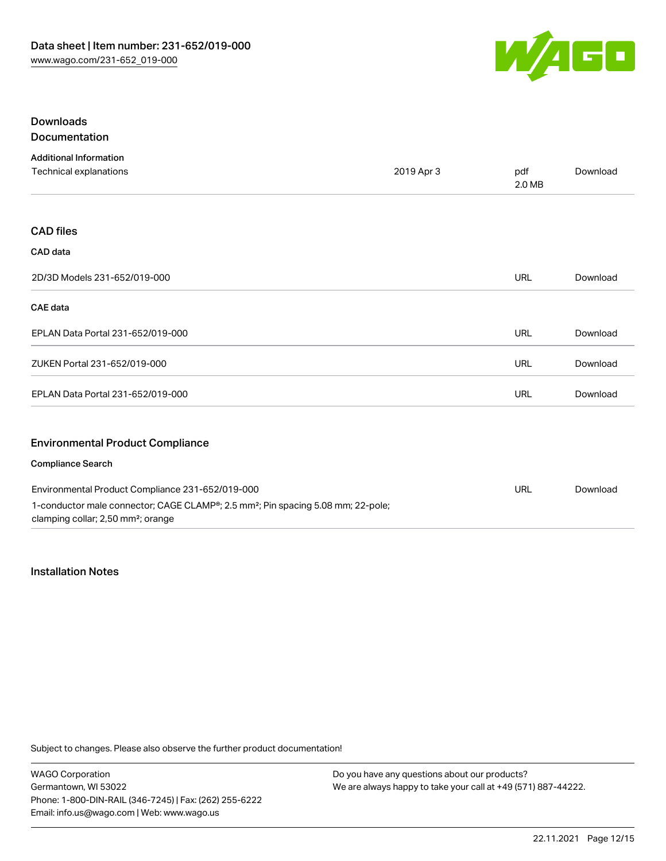

# Downloads

Documentation

| <b>Additional Information</b>                                                                                                                  |            |               |          |
|------------------------------------------------------------------------------------------------------------------------------------------------|------------|---------------|----------|
| Technical explanations                                                                                                                         | 2019 Apr 3 | pdf<br>2.0 MB | Download |
|                                                                                                                                                |            |               |          |
| <b>CAD files</b>                                                                                                                               |            |               |          |
| CAD data                                                                                                                                       |            |               |          |
| 2D/3D Models 231-652/019-000                                                                                                                   |            | URL           | Download |
| <b>CAE</b> data                                                                                                                                |            |               |          |
| EPLAN Data Portal 231-652/019-000                                                                                                              |            | URL           | Download |
| ZUKEN Portal 231-652/019-000                                                                                                                   |            | URL           | Download |
| EPLAN Data Portal 231-652/019-000                                                                                                              |            | URL           | Download |
| <b>Environmental Product Compliance</b>                                                                                                        |            |               |          |
| <b>Compliance Search</b>                                                                                                                       |            |               |          |
| Environmental Product Compliance 231-652/019-000                                                                                               |            | <b>URL</b>    | Download |
| 1-conductor male connector; CAGE CLAMP®; 2.5 mm <sup>2</sup> ; Pin spacing 5.08 mm; 22-pole;<br>clamping collar; 2,50 mm <sup>2</sup> ; orange |            |               |          |

#### Installation Notes

Subject to changes. Please also observe the further product documentation!

WAGO Corporation Germantown, WI 53022 Phone: 1-800-DIN-RAIL (346-7245) | Fax: (262) 255-6222 Email: info.us@wago.com | Web: www.wago.us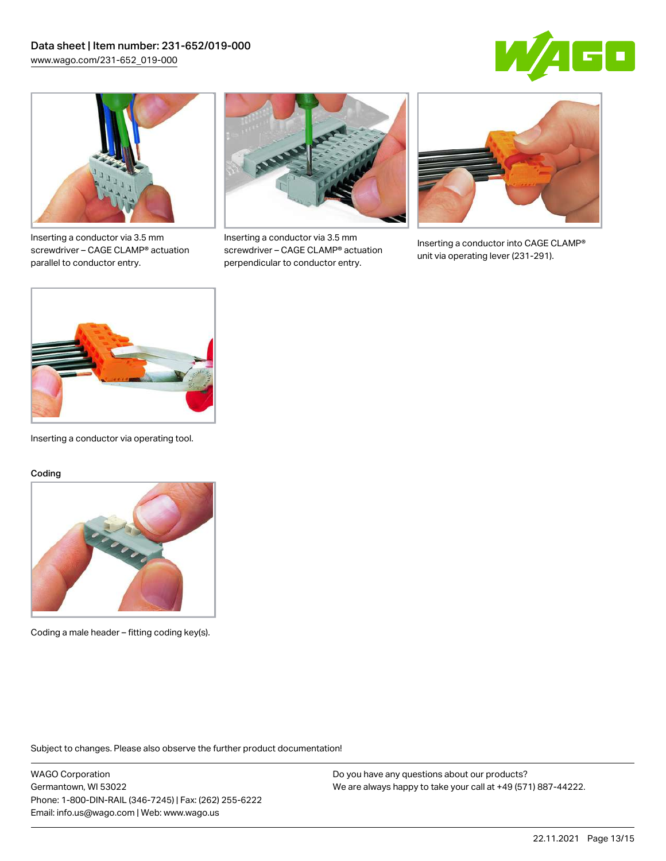



Inserting a conductor via 3.5 mm screwdriver – CAGE CLAMP® actuation parallel to conductor entry.



Inserting a conductor via 3.5 mm screwdriver – CAGE CLAMP® actuation perpendicular to conductor entry.



Inserting a conductor into CAGE CLAMP® unit via operating lever (231-291).



Inserting a conductor via operating tool.

#### Coding



Coding a male header – fitting coding key(s).

Subject to changes. Please also observe the further product documentation!

WAGO Corporation Germantown, WI 53022 Phone: 1-800-DIN-RAIL (346-7245) | Fax: (262) 255-6222 Email: info.us@wago.com | Web: www.wago.us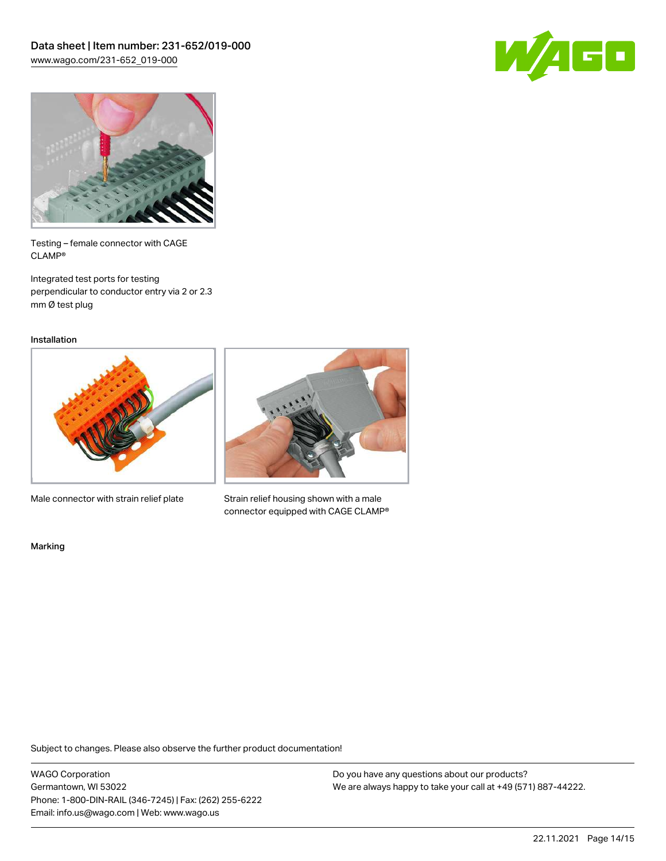



Testing – female connector with CAGE CLAMP®

Integrated test ports for testing perpendicular to conductor entry via 2 or 2.3 mm Ø test plug

Installation



Male connector with strain relief plate



Strain relief housing shown with a male connector equipped with CAGE CLAMP®

Marking

Subject to changes. Please also observe the further product documentation!

WAGO Corporation Germantown, WI 53022 Phone: 1-800-DIN-RAIL (346-7245) | Fax: (262) 255-6222 Email: info.us@wago.com | Web: www.wago.us